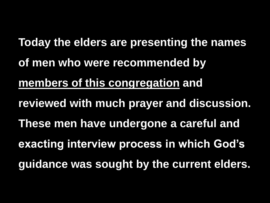**Today the elders are presenting the names of men who were recommended by members of this congregation and reviewed with much prayer and discussion. These men have undergone a careful and exacting interview process in which God's guidance was sought by the current elders.**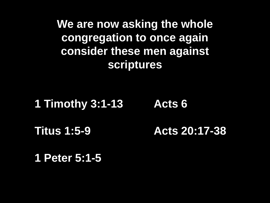**We are now asking the whole congregation to once again consider these men against scriptures** 

#### **1 Timothy 3:1-13**

#### **Acts 6**

**Titus 1:5-9**

**Acts 20:17-38**

**1 Peter 5:1-5**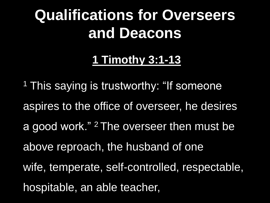# **Qualifications for Overseers and Deacons**

# **1 Timothy 3:1-13**

<sup>1</sup> This saying is trustworthy: "If someone aspires to the office of overseer, he desires a good work." <sup>2</sup> The overseer then must be above reproach, the husband of one wife, temperate, self-controlled, respectable, hospitable, an able teacher,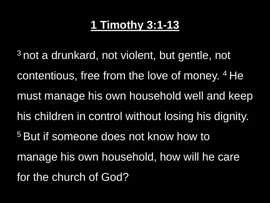<sup>3</sup> not a drunkard, not violent, but gentle, not contentious, free from the love of money. <sup>4</sup> He must manage his own household well and keep his children in control without losing his dignity. <sup>5</sup> But if someone does not know how to manage his own household, how will he care for the church of God?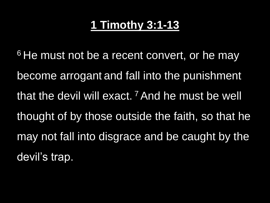<sup>6</sup> He must not be a recent convert, or he may become arrogant and fall into the punishment that the devil will exact.<sup>7</sup> And he must be well thought of by those outside the faith, so that he may not fall into disgrace and be caught by the devil's trap.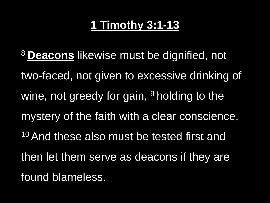<sup>8</sup> **Deacons** likewise must be dignified, not two-faced, not given to excessive drinking of wine, not greedy for gain,  $9$  holding to the mystery of the faith with a clear conscience. <sup>10</sup> And these also must be tested first and then let them serve as deacons if they are found blameless.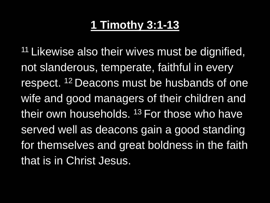<sup>11</sup> Likewise also their wives must be dignified, not slanderous, temperate, faithful in every respect. <sup>12</sup> Deacons must be husbands of one wife and good managers of their children and their own households. <sup>13</sup> For those who have served well as deacons gain a good standing for themselves and great boldness in the faith that is in Christ Jesus.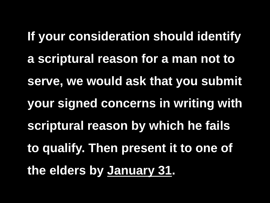**If your consideration should identify a scriptural reason for a man not to serve, we would ask that you submit your signed concerns in writing with scriptural reason by which he fails to qualify. Then present it to one of the elders by January 31.**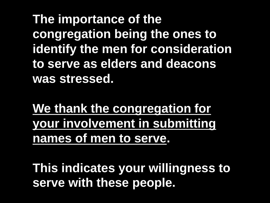**The importance of the congregation being the ones to identify the men for consideration to serve as elders and deacons was stressed.**

**We thank the congregation for your involvement in submitting names of men to serve.** 

**This indicates your willingness to serve with these people.**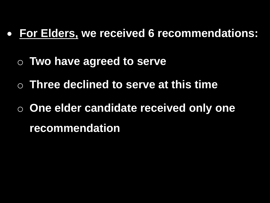#### • **For Elders, we received 6 recommendations:**

- o **Two have agreed to serve**
- o **Three declined to serve at this time**
- o **One elder candidate received only one recommendation**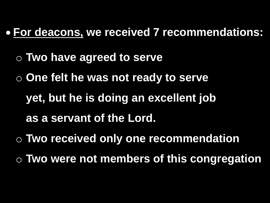#### • **For deacons, we received 7 recommendations:**

- o **Two have agreed to serve**
- o **One felt he was not ready to serve** 
	- **yet, but he is doing an excellent job**
	- **as a servant of the Lord.**
- o **Two received only one recommendation**
- o **Two were not members of this congregation**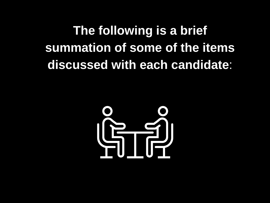**The following is a brief summation of some of the items discussed with each candidate**:

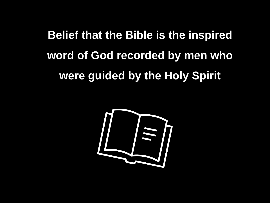# **Belief that the Bible is the inspired word of God recorded by men who were guided by the Holy Spirit**

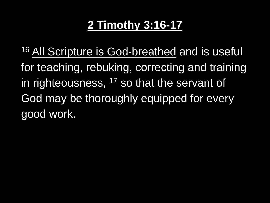16 All Scripture is God-breathed and is useful for teaching, rebuking, correcting and training in righteousness, <sup>17</sup> so that the servant of God may be thoroughly equipped for every good work.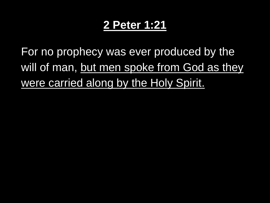#### **2 Peter 1:21**

For no prophecy was ever produced by the will of man, but men spoke from God as they were carried along by the Holy Spirit.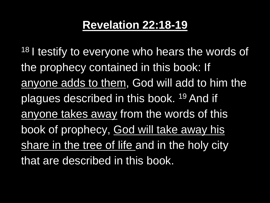#### **Revelation 22:18-19**

<sup>18</sup> I testify to everyone who hears the words of the prophecy contained in this book: If anyone adds to them, God will add to him the plagues described in this book. <sup>19</sup> And if anyone takes away from the words of this book of prophecy, God will take away his share in the tree of life and in the holy city that are described in this book.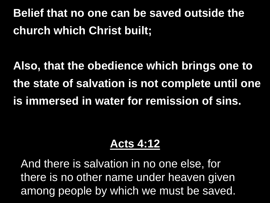**Belief that no one can be saved outside the church which Christ built;** 

**Also, that the obedience which brings one to the state of salvation is not complete until one is immersed in water for remission of sins.**

#### **Acts 4:12**

And there is salvation in no one else, for there is no other name under heaven given among people by which we must be saved.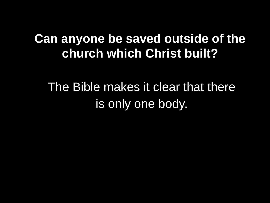# **Can anyone be saved outside of the church which Christ built?**

# The Bible makes it clear that there is only one body.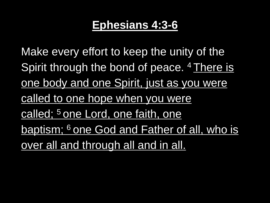#### **Ephesians 4:3-6**

Make every effort to keep the unity of the Spirit through the bond of peace. <sup>4</sup> There is one body and one Spirit, just as you were called to one hope when you were called; <sup>5</sup> one Lord, one faith, one baptism; <sup>6</sup> one God and Father of all, who is over all and through all and in all.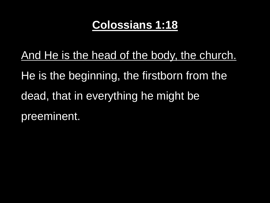#### **Colossians 1:18**

And He is the head of the body, the church. He is the beginning, the firstborn from the dead, that in everything he might be preeminent.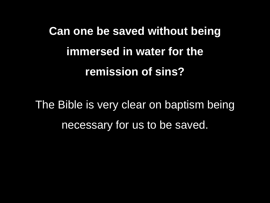# **Can one be saved without being immersed in water for the remission of sins?**

The Bible is very clear on baptism being necessary for us to be saved.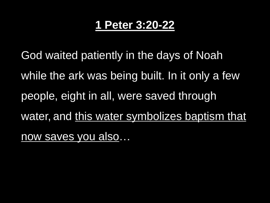#### **1 Peter 3:20-22**

God waited patiently in the days of Noah while the ark was being built. In it only a few people, eight in all, were saved through water, and this water symbolizes baptism that now saves you also...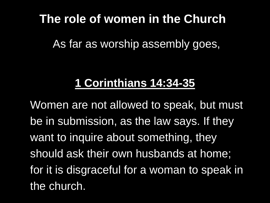### **The role of women in the Church**

As far as worship assembly goes,

# **1 Corinthians 14:34-35**

Women are not allowed to speak, but must be in submission, as the law says. If they want to inquire about something, they should ask their own husbands at home; for it is disgraceful for a woman to speak in the church.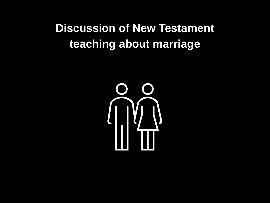# **Discussion of New Testament teaching about marriage**

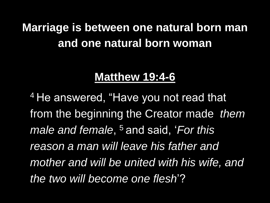# **Marriage is between one natural born man and one natural born woman**

#### **Matthew 19:4-6**

<sup>4</sup> He answered, "Have you not read that from the beginning the Creator made *them male and female*, <sup>5</sup> and said, '*For this reason a man will leave his father and mother and will be united with his wife, and the two will become one flesh*'?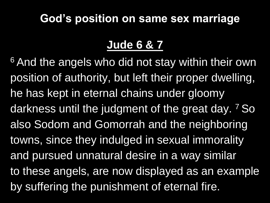#### **God's position on same sex marriage**

#### **Jude 6 & 7**

<sup>6</sup> And the angels who did not stay within their own position of authority, but left their proper dwelling, he has kept in eternal chains under gloomy darkness until the judgment of the great day. <sup>7</sup> So also Sodom and Gomorrah and the neighboring towns, since they indulged in sexual immorality and pursued unnatural desire in a way similar to these angels, are now displayed as an example by suffering the punishment of eternal fire.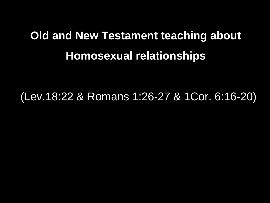# **Old and New Testament teaching about Homosexual relationships**

(Lev.18:22 & Romans 1:26-27 & 1Cor. 6:16-20)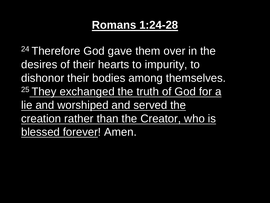#### **Romans 1:24-28**

<sup>24</sup> Therefore God gave them over in the desires of their hearts to impurity, to dishonor their bodies among themselves. <sup>25</sup> They exchanged the truth of God for a lie and worshiped and served the creation rather than the Creator, who is blessed forever! Amen.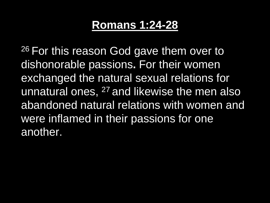#### **Romans 1:24-28**

<sup>26</sup> For this reason God gave them over to dishonorable passions**.** For their women exchanged the natural sexual relations for unnatural ones, <sup>27</sup> and likewise the men also abandoned natural relations with women and were inflamed in their passions for one another.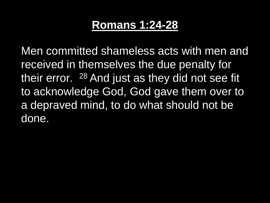#### **Romans 1:24-28**

Men committed shameless acts with men and received in themselves the due penalty for their error. <sup>28</sup> And just as they did not see fit to acknowledge God, God gave them over to a depraved mind, to do what should not be done.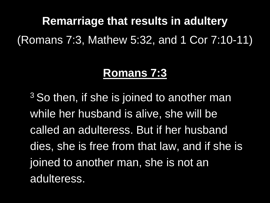**Remarriage that results in adultery** (Romans 7:3, Mathew 5:32, and 1 Cor 7:10-11)

#### **Romans 7:3**

 $3$  So then, if she is joined to another man while her husband is alive, she will be called an adulteress. But if her husband dies, she is free from that law, and if she is joined to another man, she is not an adulteress.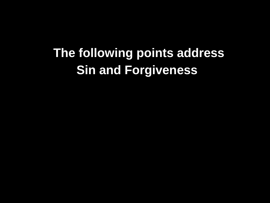**The following points address Sin and Forgiveness**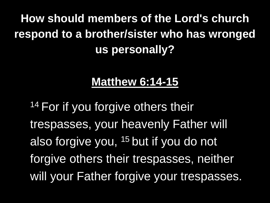# **How should members of the Lord's church respond to a brother/sister who has wronged us personally?**

#### **Matthew 6:14-15**

14 For if you forgive others their trespasses, your heavenly Father will also forgive you, <sup>15</sup> but if you do not forgive others their trespasses, neither will your Father forgive your trespasses.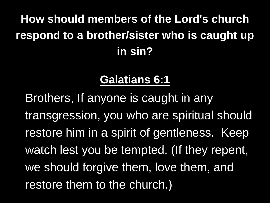# **How should members of the Lord's church respond to a brother/sister who is caught up in sin?**

## **Galatians 6:1**

Brothers, If anyone is caught in any transgression, you who are spiritual should restore him in a spirit of gentleness. Keep watch lest you be tempted. (If they repent, we should forgive them, love them, and restore them to the church.)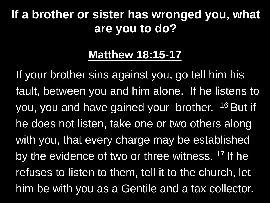# **If a brother or sister has wronged you, what are you to do?**

#### **Matthew 18:15-17**

If your brother sins against you, go tell him his fault, between you and him alone. If he listens to you, you and have gained your brother. <sup>16</sup> But if he does not listen, take one or two others along with you, that every charge may be established by the evidence of two or three witness. <sup>17</sup> If he refuses to listen to them, tell it to the church, let him be with you as a Gentile and a tax collector.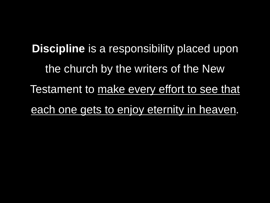**Discipline** is a responsibility placed upon the church by the writers of the New Testament to make every effort to see that each one gets to enjoy eternity in heaven.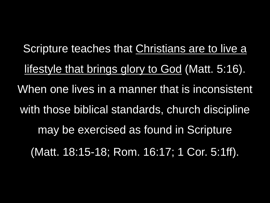Scripture teaches that Christians are to live a lifestyle that brings glory to God (Matt. 5:16). When one lives in a manner that is inconsistent with those biblical standards, church discipline may be exercised as found in Scripture (Matt. 18:15-18; Rom. 16:17; 1 Cor. 5:1ff).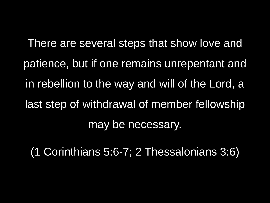There are several steps that show love and patience, but if one remains unrepentant and in rebellion to the way and will of the Lord, a last step of withdrawal of member fellowship may be necessary.

(1 Corinthians 5:6-7; 2 Thessalonians 3:6)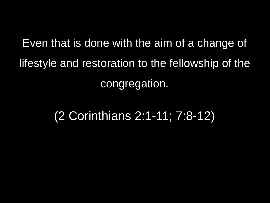Even that is done with the aim of a change of lifestyle and restoration to the fellowship of the congregation.

(2 Corinthians 2:1-11; 7:8-12)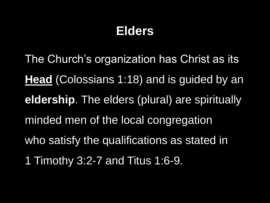# **Elders**

The Church's organization has Christ as its **Head** (Colossians 1:18) and is guided by an **eldership**. The elders (plural) are spiritually minded men of the local congregation who satisfy the qualifications as stated in 1 Timothy 3:2-7 and Titus 1:6-9.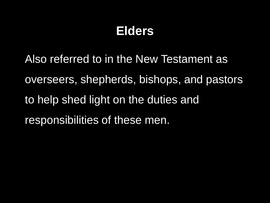# **Elders**

Also referred to in the New Testament as overseers, shepherds, bishops, and pastors to help shed light on the duties and responsibilities of these men.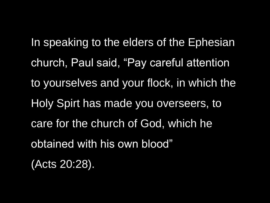In speaking to the elders of the Ephesian church, Paul said, "Pay careful attention to yourselves and your flock, in which the Holy Spirt has made you overseers, to care for the church of God, which he obtained with his own blood" (Acts 20:28).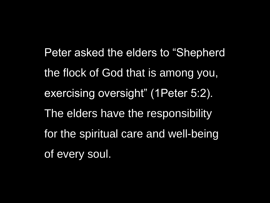Peter asked the elders to "Shepherd the flock of God that is among you, exercising oversight" (1Peter 5:2). The elders have the responsibility for the spiritual care and well-being of every soul.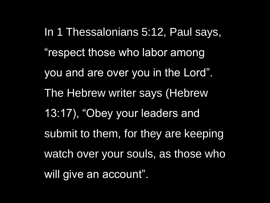In 1 Thessalonians 5:12, Paul says, "respect those who labor among you and are over you in the Lord". The Hebrew writer says (Hebrew 13:17), "Obey your leaders and submit to them, for they are keeping watch over your souls, as those who will give an account".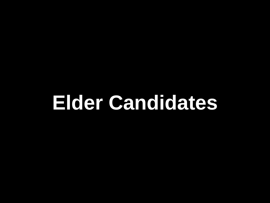# **Elder Candidates**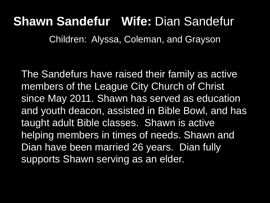# **Shawn Sandefur Wife:** Dian Sandefur

Children: Alyssa, Coleman, and Grayson

The Sandefurs have raised their family as active members of the League City Church of Christ since May 2011. Shawn has served as education and youth deacon, assisted in Bible Bowl, and has taught adult Bible classes. Shawn is active helping members in times of needs. Shawn and Dian have been married 26 years. Dian fully supports Shawn serving as an elder.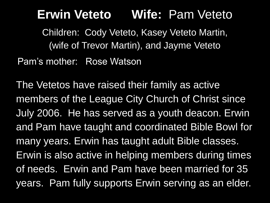#### **Erwin Veteto Wife:** Pam Veteto

Children: Cody Veteto, Kasey Veteto Martin, (wife of Trevor Martin), and Jayme Veteto Pam's mother: Rose Watson

The Vetetos have raised their family as active members of the League City Church of Christ since July 2006. He has served as a youth deacon. Erwin and Pam have taught and coordinated Bible Bowl for many years. Erwin has taught adult Bible classes. Erwin is also active in helping members during times of needs. Erwin and Pam have been married for 35 years. Pam fully supports Erwin serving as an elder.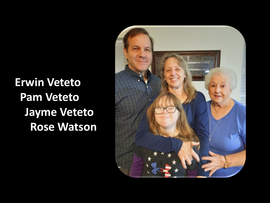**Erwin Veteto Pam Veteto Jayme Veteto Rose Watson**

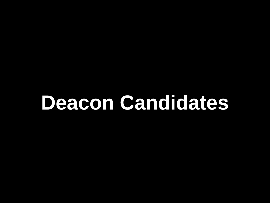# **Deacon Candidates**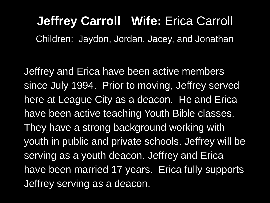# **Jeffrey Carroll Wife:** Erica Carroll

Children: Jaydon, Jordan, Jacey, and Jonathan

Jeffrey and Erica have been active members since July 1994. Prior to moving, Jeffrey served here at League City as a deacon. He and Erica have been active teaching Youth Bible classes. They have a strong background working with youth in public and private schools. Jeffrey will be serving as a youth deacon. Jeffrey and Erica have been married 17 years. Erica fully supports Jeffrey serving as a deacon.